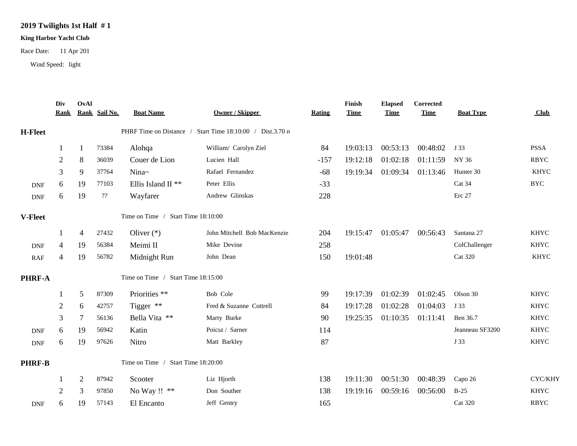## **2019 Twilights 1st Half # 1**

## **King Harbor Yacht Club**

Race Date: 11 Apr 201

Wind Speed: light

|                             | Div<br><b>Rank</b> | OvAl                                                      | Rank Sail No. | <b>Boat Name</b>                   | <b>Owner / Skipper</b>      | <b>Rating</b> | Finish<br><b>Time</b> | <b>Elapsed</b><br><b>Time</b> | Corrected<br><b>Time</b> | <b>Boat Type</b> | Club              |
|-----------------------------|--------------------|-----------------------------------------------------------|---------------|------------------------------------|-----------------------------|---------------|-----------------------|-------------------------------|--------------------------|------------------|-------------------|
| <b>H-Fleet</b>              |                    | PHRF Time on Distance / Start Time 18:10:00 / Dist.3.70 n |               |                                    |                             |               |                       |                               |                          |                  |                   |
|                             |                    | 1                                                         | 73384         | Alohqa                             | William/ Carolyn Ziel       | 84            | 19:03:13              | 00:53:13                      | 00:48:02                 | J 33             | <b>PSSA</b>       |
|                             | 2                  | 8                                                         | 36039         | Couer de Lion                      | Lucien Hall                 | $-157$        | 19:12:18              | 01:02:18                      | 01:11:59                 | NY 36            | <b>RBYC</b>       |
|                             | 3                  | 9                                                         | 37764         | Nina~                              | Rafael Fernandez            | $-68$         | 19:19:34              | 01:09:34                      | 01:13:46                 | Hunter 30        | <b>KHYC</b>       |
| <b>DNF</b>                  | 6                  | 19                                                        | 77103         | Ellis Island II <sup>**</sup>      | Peter Ellis                 | $-33$         |                       |                               |                          | Cat 34           | $_{\mathrm{BYC}}$ |
| $\ensuremath{\mathsf{DNF}}$ | 6                  | 19                                                        | $\mathbf{??}$ | Wayfarer                           | Andrew Glinskas             | 228           |                       |                               |                          | Erc 27           |                   |
| V-Fleet                     |                    |                                                           |               | Time on Time / Start Time 18:10:00 |                             |               |                       |                               |                          |                  |                   |
|                             |                    | 4                                                         | 27432         | Oliver $(*)$                       | John Mitchell Bob MacKenzie | 204           | 19:15:47              |                               | 01:05:47 00:56:43        | Santana 27       | <b>KHYC</b>       |
| <b>DNF</b>                  | 4                  | 19                                                        | 56384         | Meimi II                           | Mike Devine                 | 258           |                       |                               |                          | ColChallenger    | <b>KHYC</b>       |
| RAF                         | 4                  | 19                                                        | 56782         | Midnight Run                       | John Dean                   | 150           | 19:01:48              |                               |                          | <b>Cat 320</b>   | <b>KHYC</b>       |
| PHRF-A                      |                    |                                                           |               | Time on Time / Start Time 18:15:00 |                             |               |                       |                               |                          |                  |                   |
|                             |                    | $5\overline{)}$                                           | 87309         | Priorities **                      | Bob Cole                    | 99            | 19:17:39              | 01:02:39                      | 01:02:45                 | Olson 30         | <b>KHYC</b>       |
|                             | 2                  | 6                                                         | 42757         | Tigger **                          | Fred & Suzanne Cottrell     | 84            | 19:17:28              | 01:02:28                      | 01:04:03                 | J 33             | <b>KHYC</b>       |
|                             | 3                  | $\tau$                                                    | 56136         | Bella Vita **                      | Marty Burke                 | 90            | 19:25:35              | 01:10:35                      | 01:11:41                 | Ben 36.7         | <b>KHYC</b>       |
| <b>DNF</b>                  | 6                  | 19                                                        | 56942         | Katin                              | Poicsz / Sarner             | 114           |                       |                               |                          | Jeanneau SF3200  | <b>KHYC</b>       |
| <b>DNF</b>                  | 6                  | 19                                                        | 97626         | Nitro                              | Matt Barkley                | 87            |                       |                               |                          | J 33             | <b>KHYC</b>       |
| <b>PHRF-B</b>               |                    | Time on Time / Start Time 18:20:00                        |               |                                    |                             |               |                       |                               |                          |                  |                   |
|                             |                    | 2                                                         | 87942         | Scooter                            | Liz Hjorth                  | 138           | 19:11:30              | 00:51:30                      | 00:48:39                 | Capo 26          | CYC/KHY           |
|                             | $\overline{2}$     | 3                                                         | 97850         | No Way !! **                       | Don Souther                 | 138           | 19:19:16              | 00:59:16                      | 00:56:00                 | $B-25$           | <b>KHYC</b>       |
| DNF                         | 6                  | 19                                                        | 57143         | El Encanto                         | Jeff Gentry                 | 165           |                       |                               |                          | <b>Cat 320</b>   | <b>RBYC</b>       |